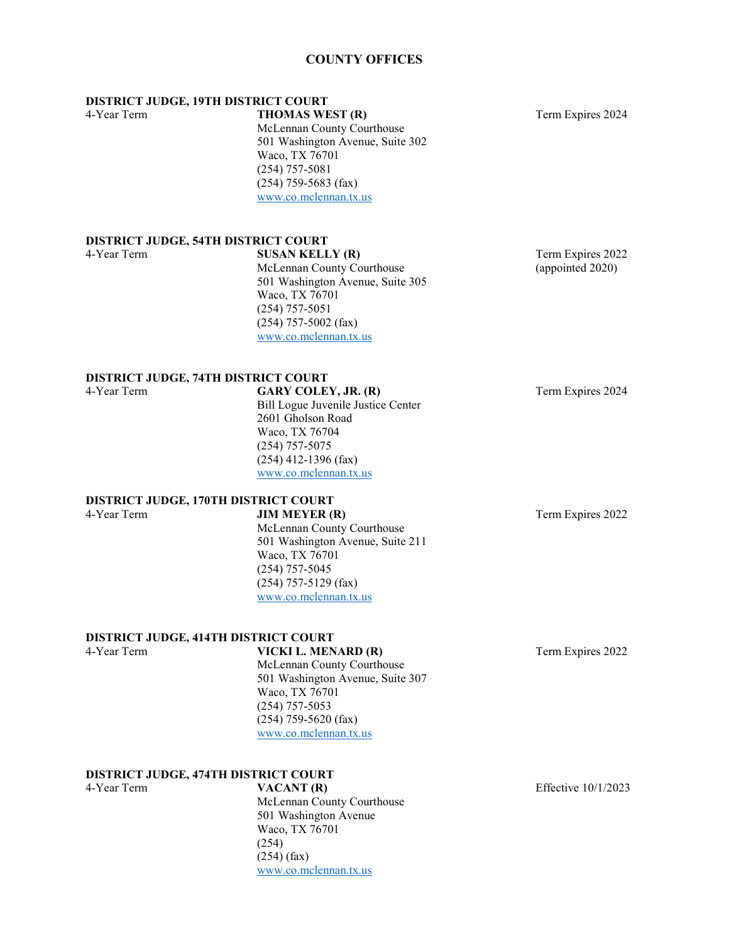#### **COUNTY OFFICES**

**DISTRICT JUDGE, 19TH DISTRICT COURT**

4-Year Term **THOMAS WEST (R)** Term Expires 2024 McLennan County Courthouse 501 Washington Avenue, Suite 302 Waco, TX 76701 (254) 757-5081 (254) 759-5683 (fax) [www.co.mclennan.tx.us](http://www.co.mclennan.tx.us/)

### **DISTRICT JUDGE, 54TH DISTRICT COURT**

**4-4-Year SUSAN KELLY (R)** Term Expires 2022<br>
McLennan County Courthouse (appointed 2020) McLennan County Courthouse 501 Washington Avenue, Suite 305 Waco, TX 76701 (254) 757-5051 (254) 757-5002 (fax) [www.co.mclennan.tx.us](http://www.co.mclennan.tx.us/)

### **DISTRICT JUDGE, 74TH DISTRICT COURT**<br>4-Year Term **GARY COLE**

**GARY COLEY, JR. (R)** Term Expires 2024 Bill Logue Juvenile Justice Center 2601 Gholson Road Waco, TX 76704 (254) 757-5075 (254) 412-1396 (fax) [www.co.mclennan.tx.us](http://www.co.mclennan.tx.us/)

# **DISTRICT JUDGE, 170TH DISTRICT COURT**<br>4-Year Term **JIM MEYER (R)**

McLennan County Courthouse 501 Washington Avenue, Suite 211 Waco, TX 76701 (254) 757-5045 (254) 757-5129 (fax) [www.co.mclennan.tx.us](http://www.co.mclennan.tx.us/)

#### **DISTRICT JUDGE, 414TH DISTRICT COURT**

4-Year Term **VICKI L. MENARD (R)** Term Expires 2022 McLennan County Courthouse 501 Washington Avenue, Suite 307 Waco, TX 76701 (254) 757-5053 (254) 759-5620 (fax) [www.co.mclennan.tx.us](http://www.co.mclennan.tx.us/)

[www.co.mclennan.tx.us](http://www.co.mclennan.tx.us/)

#### **DISTRICT JUDGE, 474TH DISTRICT COURT**

4-Year Term **VACANT (R)** Effective 10/1/2023 McLennan County Courthouse 501 Washington Avenue Waco, TX 76701 (254) (254) (fax)

Term Expires 2022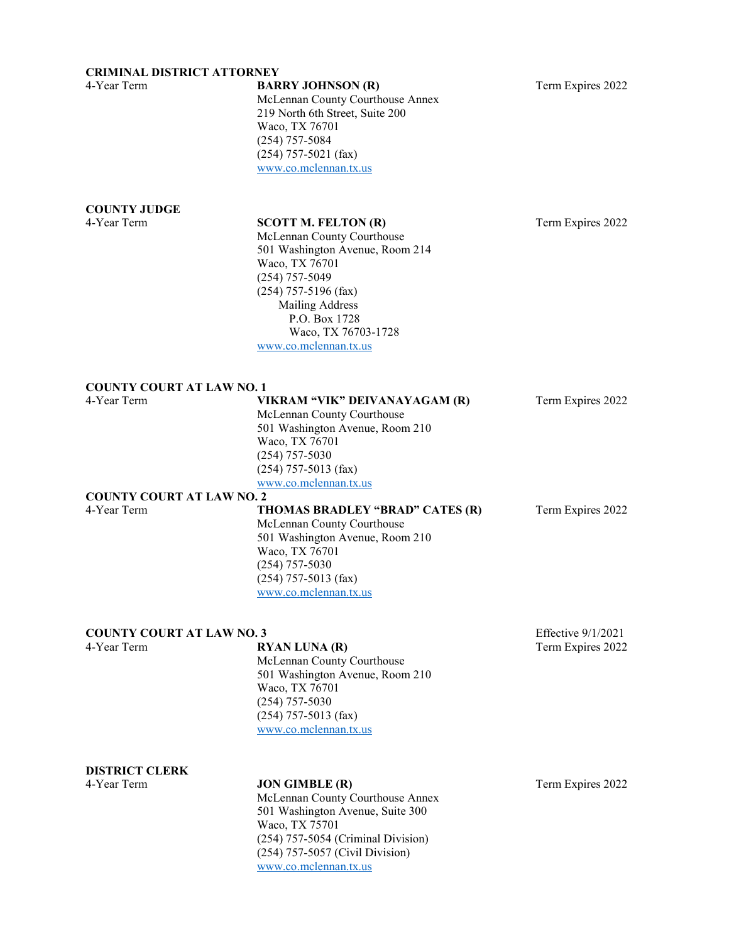#### **CRIMINAL DISTRICT ATTORNEY**

| 4-Year Term                                     | <b>BARRY JOHNSON (R)</b><br>McLennan County Courthouse Annex<br>219 North 6th Street, Suite 200<br>Waco, TX 76701<br>$(254)$ 757-5084<br>$(254)$ 757-5021 (fax)<br>www.co.mclennan.tx.us                                                        | Term Expires 2022  |
|-------------------------------------------------|-------------------------------------------------------------------------------------------------------------------------------------------------------------------------------------------------------------------------------------------------|--------------------|
| <b>COUNTY JUDGE</b>                             |                                                                                                                                                                                                                                                 |                    |
| 4-Year Term                                     | <b>SCOTT M. FELTON (R)</b><br>McLennan County Courthouse<br>501 Washington Avenue, Room 214<br>Waco, TX 76701<br>$(254)$ 757-5049<br>$(254)$ 757-5196 (fax)<br>Mailing Address<br>P.O. Box 1728<br>Waco, TX 76703-1728<br>www.co.mclennan.tx.us | Term Expires 2022  |
| <b>COUNTY COURT AT LAW NO. 1</b><br>4-Year Term | VIKRAM "VIK" DEIVANAYAGAM (R)                                                                                                                                                                                                                   |                    |
| <b>COUNTY COURT AT LAW NO. 2</b>                | McLennan County Courthouse<br>501 Washington Avenue, Room 210<br>Waco, TX 76701<br>$(254)$ 757-5030<br>$(254)$ 757-5013 (fax)<br>www.co.mclennan.tx.us                                                                                          | Term Expires 2022  |
| 4-Year Term                                     | THOMAS BRADLEY "BRAD" CATES (R)<br>McLennan County Courthouse<br>501 Washington Avenue, Room 210<br>Waco, TX 76701<br>$(254)$ 757-5030<br>$(254)$ 757-5013 (fax)<br>www.co.mclennan.tx.us                                                       | Term Expires 2022  |
| <b>COUNTY COURT AT LAW NO. 3</b>                |                                                                                                                                                                                                                                                 | Effective 9/1/2021 |
| 4-Year Term                                     | <b>RYAN LUNA (R)</b><br>McLennan County Courthouse<br>501 Washington Avenue, Room 210<br>Waco, TX 76701<br>$(254)$ 757-5030<br>$(254)$ 757-5013 (fax)<br>www.co.mclennan.tx.us                                                                  | Term Expires 2022  |

# **DISTRICT CLERK**

#### **4-4-Year Term Expires 2022** Term Expires 2022

McLennan County Courthouse Annex 501 Washington Avenue, Suite 300 Waco, TX 75701 (254) 757-5054 (Criminal Division) (254) 757-5057 (Civil Division) [www.co.mclennan.tx.us](http://www.co.mclennan.tx.us/)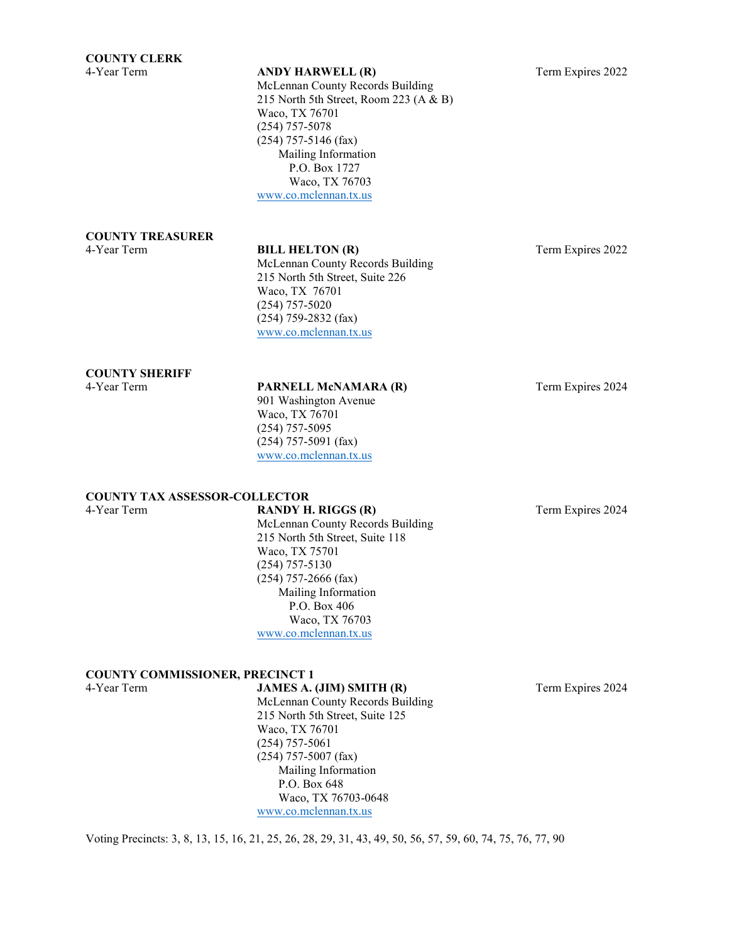McLennan County Records Building 215 North 5th Street, Room 223 (A & B) Waco, TX 76701 (254) 757-5078 (254) 757-5146 (fax) Mailing Information P.O. Box 1727 Waco, TX 76703 [www.co.mclennan.tx.us](http://www.co.mclennan.tx.us/)

# **COUNTY TREASURER**

#### **BILL HELTON (R)** Term Expires 2022

McLennan County Records Building 215 North 5th Street, Suite 226 Waco, TX 76701 (254) 757-5020 (254) 759-2832 (fax) [www.co.mclennan.tx.us](http://www.co.mclennan.tx.us/)

#### **COUNTY SHERIFF**

### 4-Year Term **PARNELL McNAMARA (R)** Term Expires 2024

901 Washington Avenue Waco, TX 76701 (254) 757-5095 (254) 757-5091 (fax) [www.co.mclennan.tx.us](http://www.co.mclennan.tx.us/)

### **COUNTY TAX ASSESSOR-COLLECTOR**

### 4-Year Term **RANDY H. RIGGS (R)** Term Expires 2024

McLennan County Records Building 215 North 5th Street, Suite 118 Waco, TX 75701 (254) 757-5130 (254) 757-2666 (fax) Mailing Information P.O. Box 406 Waco, TX 76703 [www.co.mclennan.tx.us](http://www.co.mclennan.tx.us/)

# **COUNTY COMMISSIONER, PRECINCT 1**

**JAMES A. (JIM) SMITH (R)** Term Expires 2024

McLennan County Records Building 215 North 5th Street, Suite 125 Waco, TX 76701 (254) 757-5061 (254) 757-5007 (fax) Mailing Information P.O. Box 648 Waco, TX 76703-0648 [www.co.mclennan.tx.us](http://www.co.mclennan.tx.us/)

Voting Precincts: 3, 8, 13, 15, 16, 21, 25, 26, 28, 29, 31, 43, 49, 50, 56, 57, 59, 60, 74, 75, 76, 77, 90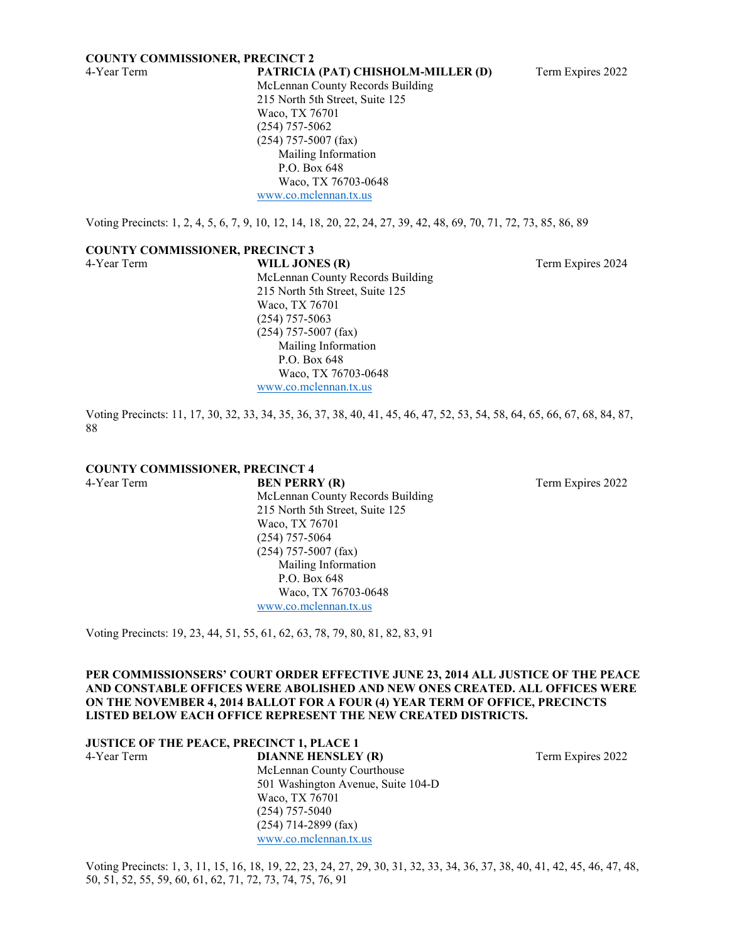#### **COUNTY COMMISSIONER, PRECINCT 2**

4-Year Term **PATRICIA (PAT) CHISHOLM-MILLER (D)** Term Expires 2022 McLennan County Records Building 215 North 5th Street, Suite 125 Waco, TX 76701 (254) 757-5062 (254) 757-5007 (fax) Mailing Information P.O. Box 648 Waco, TX 76703-0648 [www.co.mclennan.tx.us](http://www.co.mclennan.tx.us/)

Voting Precincts: 1, 2, 4, 5, 6, 7, 9, 10, 12, 14, 18, 20, 22, 24, 27, 39, 42, 48, 69, 70, 71, 72, 73, 85, 86, 89

#### **COUNTY COMMISSIONER, PRECINCT 3**

4-Year Term **WILL JONES (R)** Term Expires 2024 McLennan County Records Building 215 North 5th Street, Suite 125 Waco, TX 76701 (254) 757-5063 (254) 757-5007 (fax) Mailing Information P.O. Box 648 Waco, TX 76703-0648 [www.co.mclennan.tx.us](http://www.co.mclennan.tx.us/)

Voting Precincts: 11, 17, 30, 32, 33, 34, 35, 36, 37, 38, 40, 41, 45, 46, 47, 52, 53, 54, 58, 64, 65, 66, 67, 68, 84, 87, 88

### **COUNTY COMMISSIONER, PRECINCT 4**

**4-4-Year Term Expires 2022** Term Expires 2022 McLennan County Records Building 215 North 5th Street, Suite 125 Waco, TX 76701 (254) 757-5064 (254) 757-5007 (fax) Mailing Information P.O. Box 648 Waco, TX 76703-0648 [www.co.mclennan.tx.us](http://www.co.mclennan.tx.us/)

Voting Precincts: 19, 23, 44, 51, 55, 61, 62, 63, 78, 79, 80, 81, 82, 83, 91

#### **PER COMMISSIONSERS' COURT ORDER EFFECTIVE JUNE 23, 2014 ALL JUSTICE OF THE PEACE AND CONSTABLE OFFICES WERE ABOLISHED AND NEW ONES CREATED. ALL OFFICES WERE ON THE NOVEMBER 4, 2014 BALLOT FOR A FOUR (4) YEAR TERM OF OFFICE, PRECINCTS LISTED BELOW EACH OFFICE REPRESENT THE NEW CREATED DISTRICTS.**

|             | <b>JUSTICE OF THE PEACE, PRECINCT 1, PLACE 1</b> |                   |
|-------------|--------------------------------------------------|-------------------|
| 4-Year Term | <b>DIANNE HENSLEY (R)</b>                        | Term Expires 2022 |
|             | McLennan County Courthouse                       |                   |
|             | 501 Washington Avenue, Suite 104-D               |                   |
|             | Waco, TX 76701                                   |                   |
|             | $(254)$ 757-5040                                 |                   |
|             | $(254)$ 714-2899 (fax)                           |                   |

Voting Precincts: 1, 3, 11, 15, 16, 18, 19, 22, 23, 24, 27, 29, 30, 31, 32, 33, 34, 36, 37, 38, 40, 41, 42, 45, 46, 47, 48, 50, 51, 52, 55, 59, 60, 61, 62, 71, 72, 73, 74, 75, 76, 91

[www.co.mclennan.tx.us](http://www.co.mclennan.tx.us/)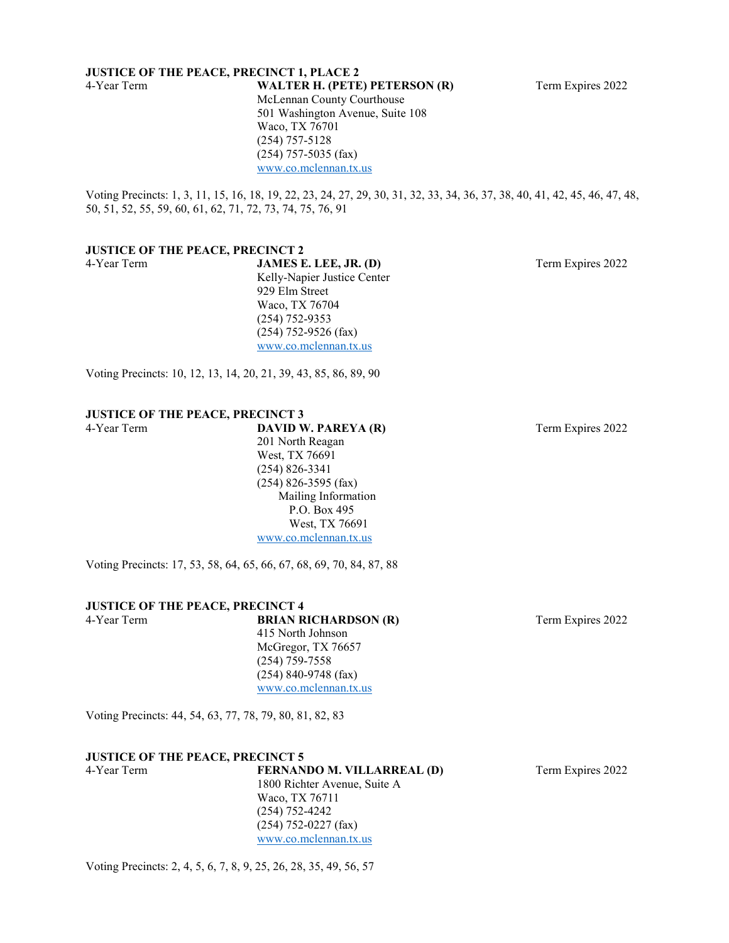### **JUSTICE OF THE PEACE, PRECINCT 1, PLACE 2**<br>4-Year Term **WALTER H. (PETE**

McLennan County Courthouse 501 Washington Avenue, Suite 108 Waco, TX 76701 (254) 757-5128 (254) 757-5035 (fax) [www.co.mclennan.tx.us](http://www.co.mclennan.tx.us/)

Voting Precincts: 1, 3, 11, 15, 16, 18, 19, 22, 23, 24, 27, 29, 30, 31, 32, 33, 34, 36, 37, 38, 40, 41, 42, 45, 46, 47, 48, 50, 51, 52, 55, 59, 60, 61, 62, 71, 72, 73, 74, 75, 76, 91

#### **JUSTICE OF THE PEACE, PRECINCT 2**

4-Year Term **JAMES E. LEE, JR. (D)** Term Expires 2022 Kelly-Napier Justice Center 929 Elm Street Waco, TX 76704 (254) 752-9353 (254) 752-9526 (fax) [www.co.mclennan.tx.us](http://www.co.mclennan.tx.us/)

Voting Precincts: 10, 12, 13, 14, 20, 21, 39, 43, 85, 86, 89, 90

#### **JUSTICE OF THE PEACE, PRECINCT 3** 4-Year Term **DAVID W. PAREYA (R)** Term Expires 2022

201 North Reagan West, TX 76691 (254) 826-3341 (254) 826-3595 (fax) Mailing Information P.O. Box 495 West, TX 76691 [www.co.mclennan.tx.us](http://www.co.mclennan.tx.us/)

Voting Precincts: 17, 53, 58, 64, 65, 66, 67, 68, 69, 70, 84, 87, 88

#### **JUSTICE OF THE PEACE, PRECINCT 4**

415 North Johnson McGregor, TX 76657 (254) 759-7558 (254) 840-9748 (fax) [www.co.mclennan.tx.us](http://www.co.mclennan.tx.us/)

Voting Precincts: 44, 54, 63, 77, 78, 79, 80, 81, 82, 83

#### **JUSTICE OF THE PEACE, PRECINCT 5**

4-Year Term **FERNANDO M. VILLARREAL (D)** Term Expires 2022 1800 Richter Avenue, Suite A Waco, TX 76711 (254) 752-4242 (254) 752-0227 (fax) [www.co.mclennan.tx.us](http://www.co.mclennan.tx.us/)

Voting Precincts: 2, 4, 5, 6, 7, 8, 9, 25, 26, 28, 35, 49, 56, 57

4-Year Term **WALTER H. (PETE) PETERSON (R)** Term Expires 2022

4-Year Term **BRIAN RICHARDSON (R)** Term Expires 2022